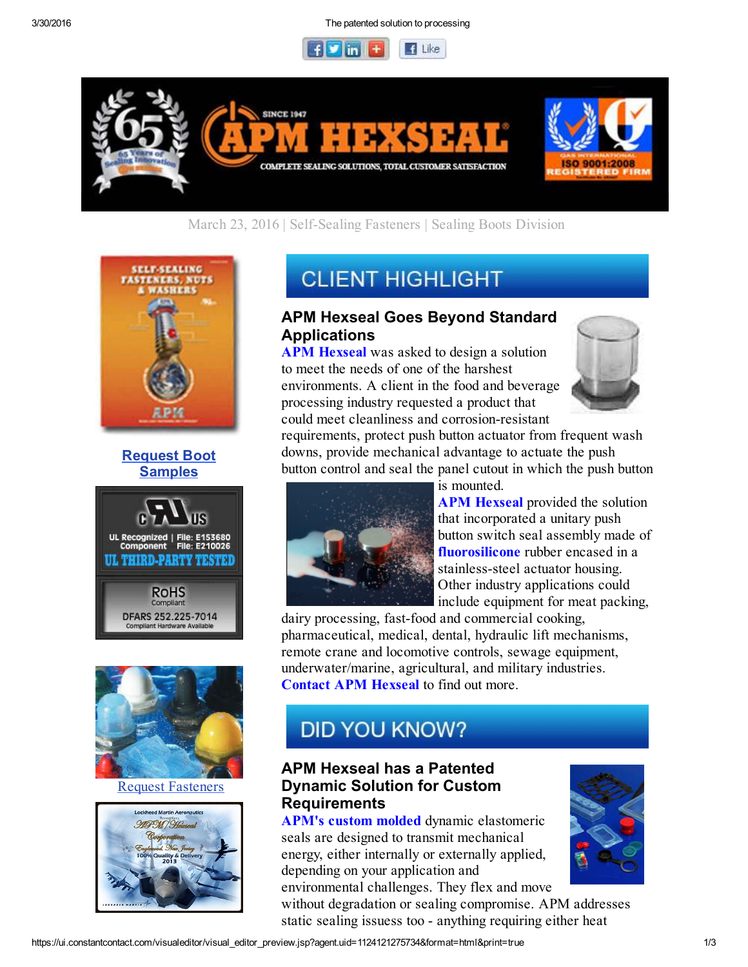3/30/2016 The patented solution to processing





### March 23, 2016 | Self-Sealing Fasteners | Sealing Boots Division









Request Fasteners



# **CLIENT HIGHLIGHT**

### APM Hexseal Goes Beyond Standard Applications

APM Hexseal was asked to design a solution to meet the needs of one of the harshest environments. A client in the food and beverage processing industry requested a product that could meet cleanliness and corrosion-resistant



requirements, protect push button actuator from frequent wash downs, provide mechanical advantage to actuate the push button control and seal the panel cutout in which the push button

is mounted.

**APM Hexseal** provided the solution that incorporated a unitary push button switch seal assembly made of fluorosilicone rubber encased in a stainless-steel actuator housing. Other industry applications could include equipment for meat packing,

dairy processing, fast-food and commercial cooking, pharmaceutical, medical, dental, hydraulic lift mechanisms, remote crane and locomotive controls, sewage equipment, underwater/marine, agricultural, and military industries. Contact APM Hexseal to find out more.

# **DID YOU KNOW?**

### APM Hexseal has a Patented Dynamic Solution for Custom **Requirements**

APM's custom molded dynamic elastomeric seals are designed to transmit mechanical energy, either internally or externally applied, depending on your application and

environmental challenges. They flex and move without degradation or sealing compromise. APM addresses static sealing issuess too - anything requiring either heat

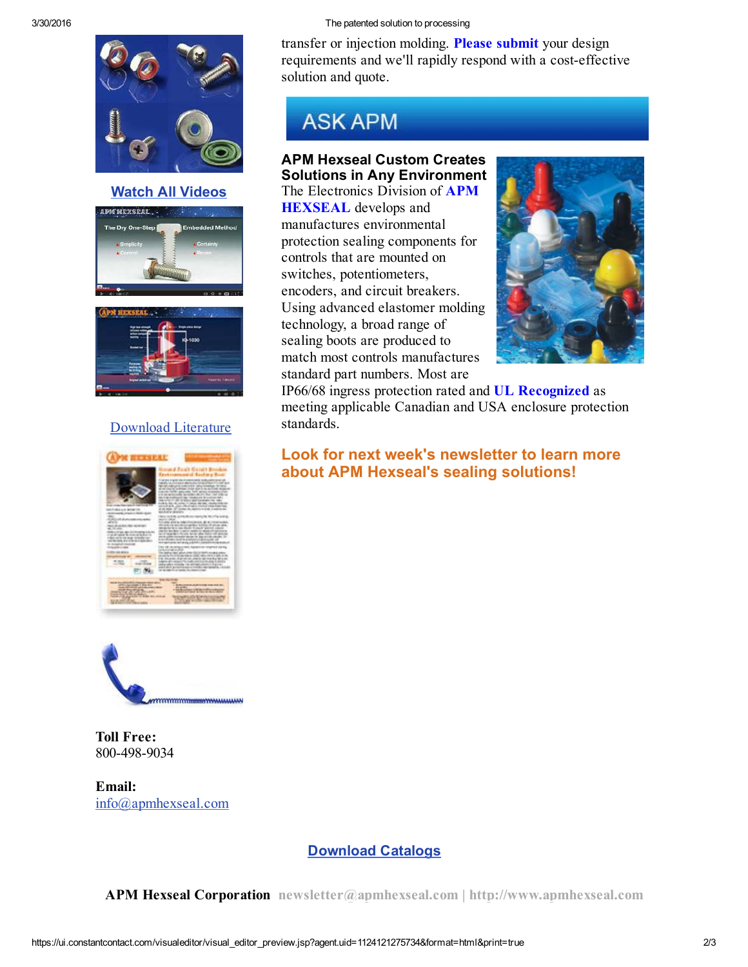

#### Watch All Videos





#### Download Literature





Toll Free: 800-498-9034

Email: info@apmhexseal.com

#### 3/30/2016 The patented solution to processing

transfer or injection molding. Please submit your design requirements and we'll rapidly respond with a cost-effective solution and quote.

## **ASK APM**

#### APM Hexseal Custom Creates Solutions in Any Environment

The Electronics Division of APM HEXSEAL develops and manufactures environmental protection sealing components for controls that are mounted on switches, potentiometers, encoders, and circuit breakers. Using advanced elastomer molding technology, a broad range of sealing boots are produced to match most controls manufactures standard part numbers. Most are



IP66/68 ingress protection rated and UL Recognized as meeting applicable Canadian and USA enclosure protection standards.

### Look for next week's newsletter to learn more about APM Hexseal's sealing solutions!

#### Download Catalogs

APM Hexseal Corporation newsletter@apmhexseal.com | http://www.apmhexseal.com